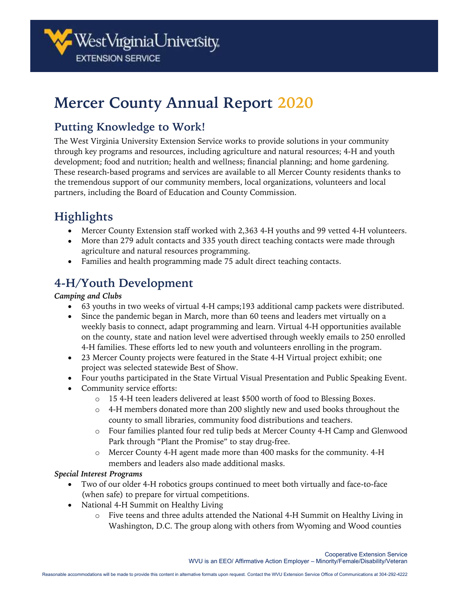

# **Mercer County Annual Report 2020**

### **Putting Knowledge to Work!**

The West Virginia University Extension Service works to provide solutions in your community through key programs and resources, including agriculture and natural resources; 4-H and youth development; food and nutrition; health and wellness; financial planning; and home gardening. These research-based programs and services are available to all Mercer County residents thanks to the tremendous support of our community members, local organizations, volunteers and local partners, including the Board of Education and County Commission.

## **Highlights**

- Mercer County Extension staff worked with 2,363 4-H youths and 99 vetted 4-H volunteers.
- More than 279 adult contacts and 335 youth direct teaching contacts were made through agriculture and natural resources programming.
- Families and health programming made 75 adult direct teaching contacts.

### **4-H/Youth Development**

#### *Camping and Clubs*

- 63 youths in two weeks of virtual 4-H camps;193 additional camp packets were distributed.
- Since the pandemic began in March, more than 60 teens and leaders met virtually on a weekly basis to connect, adapt programming and learn. Virtual 4-H opportunities available on the county, state and nation level were advertised through weekly emails to 250 enrolled 4-H families. These efforts led to new youth and volunteers enrolling in the program.
- 23 Mercer County projects were featured in the State 4-H Virtual project exhibit; one project was selected statewide Best of Show.
- Four youths participated in the State Virtual Visual Presentation and Public Speaking Event.
- Community service efforts:
	- o 15 4-H teen leaders delivered at least \$500 worth of food to Blessing Boxes.
	- $\circ$  4-H members donated more than 200 slightly new and used books throughout the county to small libraries, community food distributions and teachers.
	- o Four families planted four red tulip beds at Mercer County 4-H Camp and Glenwood Park through "Plant the Promise" to stay drug-free.
	- o Mercer County 4-H agent made more than 400 masks for the community. 4-H members and leaders also made additional masks.

#### *Special Interest Programs*

- Two of our older 4-H robotics groups continued to meet both virtually and face-to-face (when safe) to prepare for virtual competitions.
- National 4-H Summit on Healthy Living
	- o Five teens and three adults attended the National 4-H Summit on Healthy Living in Washington, D.C. The group along with others from Wyoming and Wood counties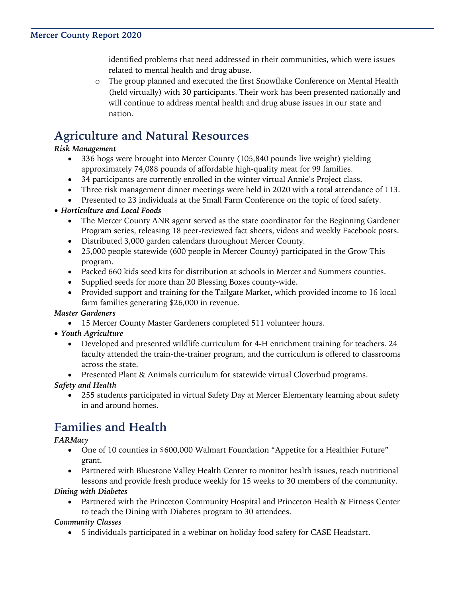identified problems that need addressed in their communities, which were issues related to mental health and drug abuse.

o The group planned and executed the first Snowflake Conference on Mental Health (held virtually) with 30 participants. Their work has been presented nationally and will continue to address mental health and drug abuse issues in our state and nation.

### **Agriculture and Natural Resources**

#### *Risk Management*

- 336 hogs were brought into Mercer County (105,840 pounds live weight) yielding approximately 74,088 pounds of affordable high-quality meat for 99 families.
- 34 participants are currently enrolled in the winter virtual Annie's Project class.
- Three risk management dinner meetings were held in 2020 with a total attendance of 113.
- Presented to 23 individuals at the Small Farm Conference on the topic of food safety.

#### • *Horticulture and Local Foods*

- The Mercer County ANR agent served as the state coordinator for the Beginning Gardener Program series, releasing 18 peer-reviewed fact sheets, videos and weekly Facebook posts.
- Distributed 3,000 garden calendars throughout Mercer County.
- 25,000 people statewide (600 people in Mercer County) participated in the Grow This program.
- Packed 660 kids seed kits for distribution at schools in Mercer and Summers counties.
- Supplied seeds for more than 20 Blessing Boxes county-wide.
- Provided support and training for the Tailgate Market, which provided income to 16 local farm families generating \$26,000 in revenue.

#### *Master Gardeners*

- 15 Mercer County Master Gardeners completed 511 volunteer hours.
- *Youth Agriculture*
	- Developed and presented wildlife curriculum for 4-H enrichment training for teachers. 24 faculty attended the train-the-trainer program, and the curriculum is offered to classrooms across the state.
	- Presented Plant & Animals curriculum for statewide virtual Cloverbud programs.

#### *Safety and Health*

• 255 students participated in virtual Safety Day at Mercer Elementary learning about safety in and around homes.

### **Families and Health**

#### *FARMacy*

- One of 10 counties in \$600,000 Walmart Foundation "Appetite for a Healthier Future" grant.
- Partnered with Bluestone Valley Health Center to monitor health issues, teach nutritional lessons and provide fresh produce weekly for 15 weeks to 30 members of the community.

#### *Dining with Diabetes*

Partnered with the Princeton Community Hospital and Princeton Health & Fitness Center to teach the Dining with Diabetes program to 30 attendees.

#### *Community Classes*

• 5 individuals participated in a webinar on holiday food safety for CASE Headstart.